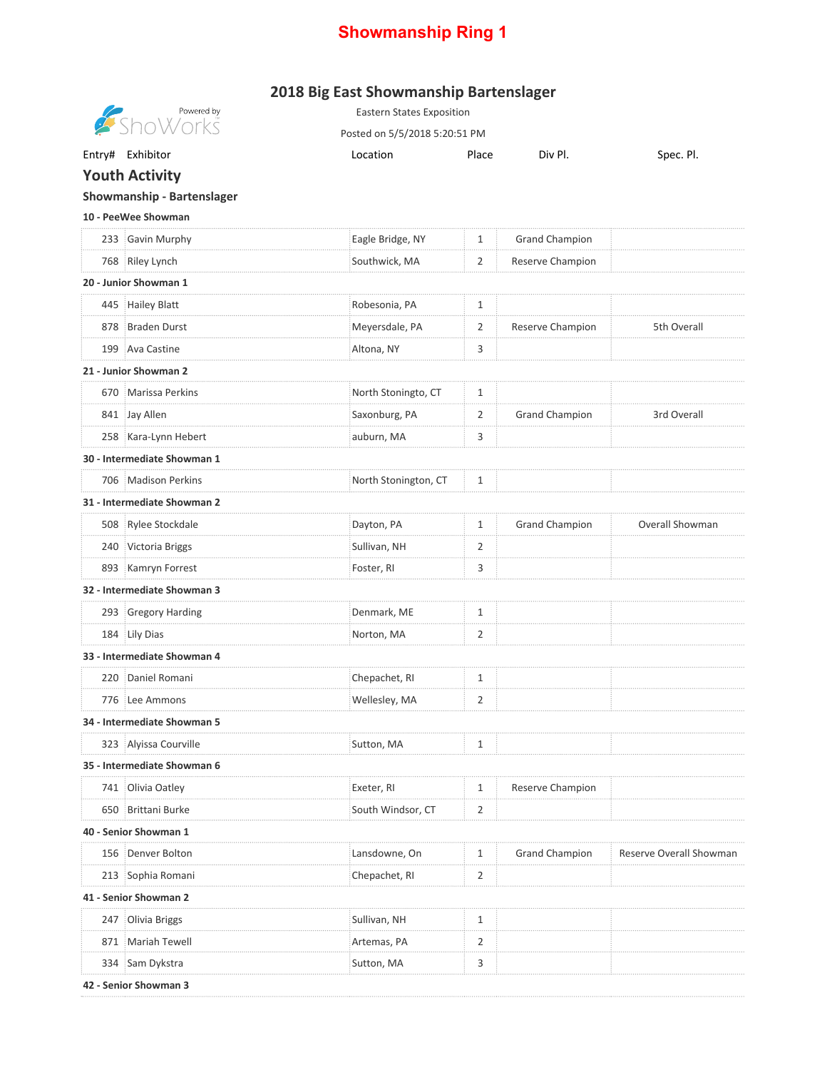## **Showmanship Ring 1**

## **2018 Big East Showmanship Bartenslager**

|                             | Powered by<br>ShoWorks | <b>Eastern States Exposition</b> |       |                       |                                |  |  |  |  |
|-----------------------------|------------------------|----------------------------------|-------|-----------------------|--------------------------------|--|--|--|--|
|                             |                        | Posted on 5/5/2018 5:20:51 PM    |       |                       |                                |  |  |  |  |
|                             | Entry# Exhibitor       | Location                         | Place | Div Pl.               | Spec. Pl.                      |  |  |  |  |
| <b>Youth Activity</b>       |                        |                                  |       |                       |                                |  |  |  |  |
| Showmanship - Bartenslager  |                        |                                  |       |                       |                                |  |  |  |  |
| 10 - PeeWee Showman         |                        |                                  |       |                       |                                |  |  |  |  |
|                             | 233 Gavin Murphy       | Eagle Bridge, NY                 | 1     | <b>Grand Champion</b> |                                |  |  |  |  |
|                             | 768 Riley Lynch        | Southwick, MA                    | 2     | Reserve Champion      |                                |  |  |  |  |
| 20 - Junior Showman 1       |                        |                                  |       |                       |                                |  |  |  |  |
|                             | 445 Hailey Blatt       | Robesonia, PA                    | 1     |                       |                                |  |  |  |  |
|                             | 878 Braden Durst       | Meyersdale, PA                   | 2     | Reserve Champion      | 5th Overall                    |  |  |  |  |
|                             | 199 Ava Castine        | Altona, NY                       | 3     |                       |                                |  |  |  |  |
| 21 - Junior Showman 2       |                        |                                  |       |                       |                                |  |  |  |  |
|                             | 670 Marissa Perkins    | North Stoningto, CT              | 1     |                       |                                |  |  |  |  |
|                             | 841 Jay Allen          | Saxonburg, PA                    | 2     | <b>Grand Champion</b> | 3rd Overall                    |  |  |  |  |
|                             | 258 Kara-Lynn Hebert   | auburn, MA                       | 3     |                       |                                |  |  |  |  |
| 30 - Intermediate Showman 1 |                        |                                  |       |                       |                                |  |  |  |  |
|                             | 706 Madison Perkins    | North Stonington, CT             | 1     |                       |                                |  |  |  |  |
| 31 - Intermediate Showman 2 |                        |                                  |       |                       |                                |  |  |  |  |
|                             | 508 Rylee Stockdale    | Dayton, PA                       | 1     | Grand Champion        | Overall Showman                |  |  |  |  |
|                             | 240 Victoria Briggs    | Sullivan, NH                     | 2     |                       |                                |  |  |  |  |
|                             | 893 Kamryn Forrest     | Foster, RI                       | 3     |                       |                                |  |  |  |  |
| 32 - Intermediate Showman 3 |                        |                                  |       |                       |                                |  |  |  |  |
|                             | 293 Gregory Harding    | Denmark, ME                      | 1     |                       |                                |  |  |  |  |
|                             | 184 Lily Dias          | Norton, MA                       | 2     |                       |                                |  |  |  |  |
| 33 - Intermediate Showman 4 |                        |                                  |       |                       |                                |  |  |  |  |
|                             | 220 Daniel Romani      | Chepachet, RI                    | 1     |                       |                                |  |  |  |  |
|                             | 776 Lee Ammons         | Wellesley, MA                    | 2     |                       |                                |  |  |  |  |
| 34 - Intermediate Showman 5 |                        |                                  |       |                       |                                |  |  |  |  |
|                             | 323 Alyissa Courville  | Sutton, MA                       | 1     |                       |                                |  |  |  |  |
| 35 - Intermediate Showman 6 |                        |                                  |       |                       |                                |  |  |  |  |
|                             | 741 : Olivia Oatley    | Exeter, RI                       | 1     | Reserve Champion      |                                |  |  |  |  |
|                             | 650 Brittani Burke     | South Windsor, CT                | 2     |                       |                                |  |  |  |  |
| 40 - Senior Showman 1       |                        |                                  |       |                       |                                |  |  |  |  |
|                             | 156 Denver Bolton      | Lansdowne, On                    | 1     | <b>Grand Champion</b> | <b>Reserve Overall Showmar</b> |  |  |  |  |
|                             | 213 Sophia Romani      | Chepachet, RI                    | 2     |                       |                                |  |  |  |  |
| 41 - Senior Showman 2       |                        |                                  |       |                       |                                |  |  |  |  |
|                             | 247 Olivia Briggs      | Sullivan, NH                     | 1     |                       |                                |  |  |  |  |
|                             | 871 Mariah Tewell      | Artemas, PA                      | 2     |                       |                                |  |  |  |  |
|                             | 334 Sam Dykstra        | Sutton, MA                       | 3     |                       |                                |  |  |  |  |
| 42 - Senior Showman 3       |                        |                                  |       |                       |                                |  |  |  |  |